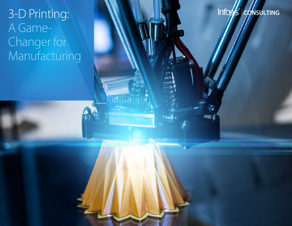# 3-D Printing: **CONSULTING** A Game-Changer for Manufacturing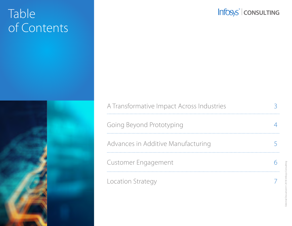# Table of Contents



## Infosys<sup>®</sup> | CONSULTING

| A Transformative Impact Across Industries |  |
|-------------------------------------------|--|
| Going Beyond Prototyping                  |  |
| Advances in Additive Manufacturing        |  |
| Customer Engagement                       |  |
| Location Strategy                         |  |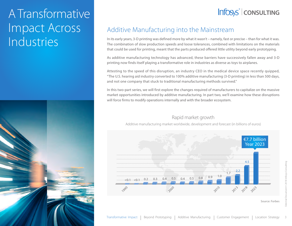# A Transformative Impact Across Industries



## **CONSULTING**

#### Additive Manufacturing into the Mainstream

In its early years, 3-D printing was defined more by what it wasn't – namely, fast or precise – than for what it was. The combination of slow production speeds and loose tolerances, combined with limitations on the materials that could be used for printing, meant that the parts produced offered little utility beyond early prototyping.

As additive manufacturing technology has advanced, these barriers have successively fallen away and 3-D printing now finds itself playing a transformative role in industries as diverse as toys to airplanes.

Attesting to the speed of this disruption, an industry CEO in the medical device space recently quipped, "The U.S. hearing aid industry converted to 100% additive manufacturing (3-D printing) in less than 500 days, and not one company that stuck to traditional manufacturing methods survived."

In this two-part series, we will first explore the changes required of manufacturers to capitalize on the massive market opportunities introduced by additive manufacturing. In part two, we'll examine how these disruptions will force firms to modify operations internally and with the broader ecosystem.

#### Rapid market growth

Additive manufacturing market worldwide, development and forecast (in billions of euros)



Source: Forbes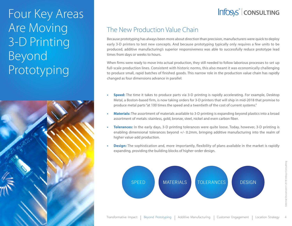# Four Key Areas Are Moving 3-D Printing Beyond Prototyping



## **CONSULTING**

#### The New Production Value Chain

Because prototyping has always been more about direction than precision, manufacturers were quick to deploy early 3-D printers to test new concepts. And because prototyping typically only requires a few units to be produced, additive manufacturing's superior responsiveness was able to successfully reduce prototype lead times from days or weeks to hours.

When firms were ready to move into actual production, they still needed to follow laborious processes to set up full-scale production lines. Consistent with historic norms, this also meant it was economically challenging to produce small, rapid batches of finished goods. This narrow role in the production value chain has rapidly changed as four dimensions advance in parallel:

- **• Speed:** The time it takes to produce parts via 3-D printing is rapidly accelerating. For example, Desktop Metal, a Boston-based firm, is now taking orders for 3-D printers that will ship in mid-2018 that promise to produce metal parts "at 100 times the speed and a twentieth of the cost of current systems."
- **• Materials:** The assortment of materials available to 3-D printing is expanding beyond plastics into a broad assortment of metals: stainless, gold, bronze, steel, nickel and even carbon fiber.
- **• Tolerances:** In the early days, 3-D printing tolerances were quite loose. Today, however, 3-D printing is enabling dimensional tolerances beyond +/- 0.2mm, bringing additive manufacturing into the realm of higher value-add production.
- **• Design:** The sophistication and, more importantly, flexibility of plans available in the market is rapidly expanding, providing the building blocks of higher-order design.

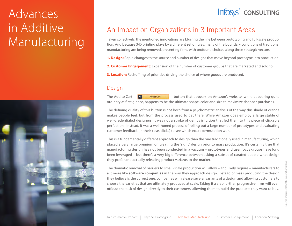# Advances in Additive Manufacturing



### An Impact on Organizations in 3 Important Areas

Taken collectively, the mentioned innovations are blurring the line between prototyping and full-scale production. And because 3-D printing plays by a different set of rules, many of the boundary conditions of traditional manufacturing are being removed, presenting firms with profound choices along three strategic vectors:

**1. Design:** Rapid changes to the source and number of designs that move beyond prototype into production.

- **2. Customer Engagement:** Expansion of the number of customer groups that are marketed and sold to.
- **3. Location:** Reshuffling of priorities driving the choice of where goods are produced.

#### Design

The 'Add to Cart'  $\begin{bmatrix} \mathbf{w} & \mathbf{A} \mathbf{d} \mathbf{w} \mathbf{G} \mathbf{u} \end{bmatrix}$  button that appears on Amazon's website, while appearing quite ordinary at first glance, happens to be the ultimate shape, color and size to maximize shopper purchases.

The defining quality of this button is not born from a psychometric analysis of the way this shade of orange makes people feel, but from the process used to get there. While Amazon does employ a large stable of well-credentialed designers, it was not a stroke of genius intuition that led them to this piece of clickable perfection. Instead, it was a well-honed process of rolling out a large number of prototypes and evaluating customer feedback (in their case, clicks) to see which exact permutation won.

This is a fundamentally different approach to design than the one traditionally used in manufacturing, which placed a very large premium on creating the "right" design prior to mass production. It's certainly true that manufacturing design has not been conducted in a vacuum – prototypes and user focus groups have long been leveraged – but there's a very big difference between asking a subset of curated people what design they prefer and actually releasing product variants to the market.

The dramatic removal of barriers to small-scale production will allow – and likely require – manufacturers to act more like **software companies** in the way they approach design. Instead of mass producing the design they believe is the correct one, companies will release several variants of a design and allowing customers to choose the varieties that are ultimately produced at scale. Taking it a step further, progressive firms will even offload the task of design directly to their customers, allowing them to build the products they want to buy.

## **CONSULTING**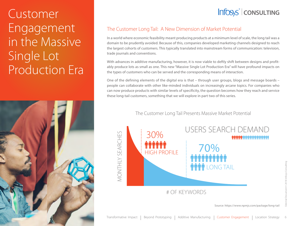# Customer Engagement in the Massive Single Lot Production Era



## **CONSULTING**

#### The Customer Long Tail: A New Dimension of Market Potential

In a world where economic feasibility meant producing products at a minimum level of scale, the long tail was a domain to be prudently avoided. Because of this, companies developed marketing channels designed to reach the largest cohorts of customers. This typically translated into mainstream forms of communication: television, trade journals and conventions.

With advances in additive manufacturing, however, it is now viable to deftly shift between designs and profitably produce lots as small as one. This new "Massive Single Lot Production Era" will have profound impacts on the types of customers who can be served and the corresponding means of interaction.

One of the defining elements of the digital era is that – through user groups, blogs and message boards – people can collaborate with other like-minded individuals on increasingly arcane topics. For companies who can now produce products with similar levels of specificity, the question becomes how they reach and service these long-tail customers, something that we will explore in part two of this series.

The Customer Long Tail Presents Massive Market Potential

**VIONTHLY SEARCHES** MONTHLY SEARCHES



# OF KEYWORDS

External Document © 2018 Infosys Consulting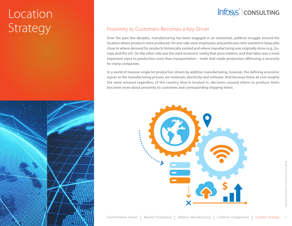# **Location** Strategy



#### Proximity to Customers Becomes a Key Driver

Over the past few decades, manufacturing has been engaged in an existential, political struggle around the location where products were produced. On one side were employees and politicians who wanted to keep jobs close to where demand for products historically existed and where manufacturing was originally done (e.g., Europe and the US). On the other side was the stark economic reality that price matters, and that labor was a more important input to production costs than transportation – math that made production offshoring a necessity for many companies.

In a world of massive single lot production driven by additive manufacturing, however, the defining economic inputs to the manufacturing process are materials, electricity and software. And because these all cost roughly the same amount regardless of the country they're located in, decisions around where to produce items becomes more about proximity to customers and corresponding shipping times.

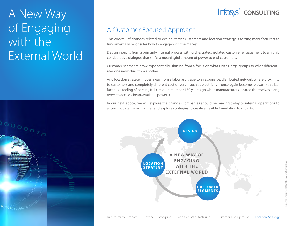# A New Way of Engaging with the External World

# 00000070 oddo1010101000c

## **CONSULTING**

## A Customer Focused Approach

This cocktail of changes related to design, target customers and location strategy is forcing manufacturers to fundamentally reconsider how to engage with the market.

Design morphs from a primarily internal process with orchestrated, isolated customer engagement to a highly collaborative dialogue that shifts a meaningful amount of power to end customers.

Customer segments grow exponentially, shifting from a focus on what unites large groups to what differentiates one individual from another.

And location strategy moves away from a labor arbitrage to a responsive, distributed network where proximity to customers and completely different cost drivers – such as electricity – once again become relevant (this last fact has a feeling of coming full circle – remember 150 years ago when manufacturers located themselves along rivers to access cheap, available power?)

In our next ebook, we will explore the changes companies should be making today to internal operations to accommodate these changes and explore strategies to create a flexible foundation to grow from.



8